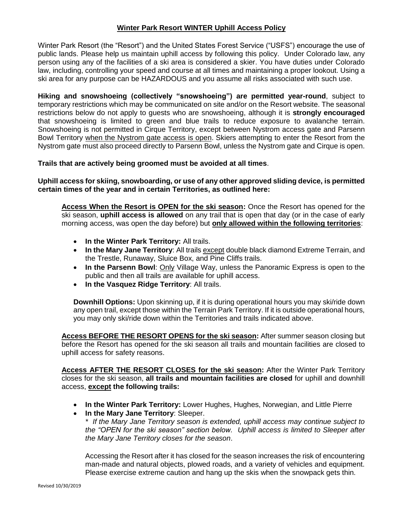## **Winter Park Resort WINTER Uphill Access Policy**

Winter Park Resort (the "Resort") and the United States Forest Service ("USFS") encourage the use of public lands. Please help us maintain uphill access by following this policy. Under Colorado law, any person using any of the facilities of a ski area is considered a skier. You have duties under Colorado law, including, controlling your speed and course at all times and maintaining a proper lookout. Using a ski area for any purpose can be HAZARDOUS and you assume all risks associated with such use.

**Hiking and snowshoeing (collectively "snowshoeing") are permitted year-round**, subject to temporary restrictions which may be communicated on site and/or on the Resort website. The seasonal restrictions below do not apply to guests who are snowshoeing, although it is **strongly encouraged** that snowshoeing is limited to green and blue trails to reduce exposure to avalanche terrain. Snowshoeing is not permitted in Cirque Territory, except between Nystrom access gate and Parsenn Bowl Territory when the Nystrom gate access is open. Skiers attempting to enter the Resort from the Nystrom gate must also proceed directly to Parsenn Bowl, unless the Nystrom gate and Cirque is open.

## **Trails that are actively being groomed must be avoided at all times**.

**Uphill access for skiing, snowboarding, or use of any other approved sliding device, is permitted certain times of the year and in certain Territories, as outlined here:**

**Access When the Resort is OPEN for the ski season:** Once the Resort has opened for the ski season, **uphill access is allowed** on any trail that is open that day (or in the case of early morning access, was open the day before) but **only allowed within the following territories**:

- **In the Winter Park Territory:** All trails.
- **In the Mary Jane Territory**: All trails except double black diamond Extreme Terrain, and the Trestle, Runaway, Sluice Box, and Pine Cliffs trails.
- In the Parsenn Bowl: Only Village Way, unless the Panoramic Express is open to the public and then all trails are available for uphill access.
- **In the Vasquez Ridge Territory**: All trails.

**Downhill Options:** Upon skinning up, if it is during operational hours you may ski/ride down any open trail, except those within the Terrain Park Territory. If it is outside operational hours, you may only ski/ride down within the Territories and trails indicated above.

**Access BEFORE THE RESORT OPENS for the ski season:** After summer season closing but before the Resort has opened for the ski season all trails and mountain facilities are closed to uphill access for safety reasons.

**Access AFTER THE RESORT CLOSES for the ski season:** After the Winter Park Territory closes for the ski season, **all trails and mountain facilities are closed** for uphill and downhill access, **except the following trails:**

- **In the Winter Park Territory:** Lower Hughes, Hughes, Norwegian, and Little Pierre
- **In the Mary Jane Territory**: Sleeper.

*\* If the Mary Jane Territory season is extended, uphill access may continue subject to the "OPEN for the ski season" section below. Uphill access is limited to Sleeper after the Mary Jane Territory closes for the season*.

Accessing the Resort after it has closed for the season increases the risk of encountering man-made and natural objects, plowed roads, and a variety of vehicles and equipment. Please exercise extreme caution and hang up the skis when the snowpack gets thin.